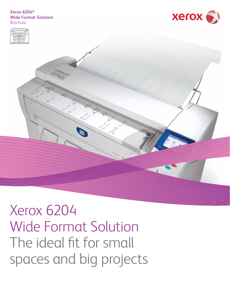# **Xerox 6204® Wide Format Solution Brochure**





Xerox 6204 Wide Format Solution The ideal fit for small spaces and big projects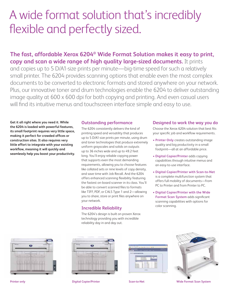# A wide format solution that's incredibly flexible and perfectly sized.

# **The fast, affordable Xerox 6204® Wide Format Solution makes it easy to print, copy and scan a wide range of high quality large-sized documents.** It prints

and copies up to 5 D/A1-size prints per minute—big-time speed for such a relatively small printer. The 6204 provides scanning options that enable even the most complex documents to be converted to electronic formats and stored anywhere on your network. Plus, our innovative toner and drum technologies enable the 6204 to deliver outstanding image quality at 600 x 600 dpi for both copying and printing. And even casual users will find its intuitive menus and touchscreen interface simple and easy to use.

**Get it all right where you need it. While the 6204 is loaded with powerful features, its small footprint requires very little space,**  making it perfect for crowded offices or **construction sites. It also requires very little effort to integrate with your existing**  workflow, meaning it will quickly and **seamlessly help you boost your productivity.**

# **Outstanding performance**

The 6204 consistently delivers the kind of printing speed and versatility that produces up to 5 D/A1-size prints per minute, using drum and toner technologies that produce extremely uniform grayscales and solids on outputs up to 36 inches wide and up to 49.2 feet long. You'll enjoy reliable copying power that supports even the most demanding requirements, allowing you to choose features like collated sets or nine levels of copy density, and save time with Job Recall. And the 6204 offers enhanced scanning flexibility featuring the fastest on-board scanner in its class. You'll be able to convert scanned files to formats like TIFF, PDF, or CALS Type 1 and 2—allowing you to share, store or print files anywhere on your network.

# **Incredible Reliability**

The 6204's design is built on proven Xerox technology providing you with incredible reliability day in and day out.

# **Designed to work the way you do**

Choose the Xerox 6204 solution that best fits your specific job and workflow requirements.

- **Printer Only** creates outstanding image quality and big productivity in a small footprint—all at an affordable price.
- **Digital Copier/Printer** adds copying capabilities through intuitive menus and an easy-to-use interface.
- **Digital Copier/Printer with Scan-to-Net** is a complete multifunction system that offers full mobility of documents—from PC to Printer and from Printer to PC.
- **Digital Copier/Printer with the Wide Format Scan System** adds significant scanning capabilities with options for color scanning.









**Printer only Copier Access Copier Access Printer Scan-to-Net Scan-to-Net Wide Format Scan System**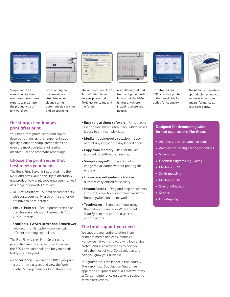



Simple, intuitive menus quickly turn even casual users into experts to maximize the productivity of any workflow.

Scans of original documents are straightened and cleaned using automatic de-skewing and de-speckling.

# **Get sharp, clear images print after print**

Your important prints, scans and copies deserve nothing less than superior image quality. Count on sharp, precise detail on even the most complex engineering, architectural and schematic renderings.

# **Choose the print server that best meets your needs**

The Basic Print Server is integrated into the 6204 and gives you the ability to affordably and productively print, copy and scan—as well as a range of powerful features.

- • **BT Plot Assistant**—Submit document sets with ease; commonly used print settings do not have to be re-entered.
- **Virtual Printers**—Set up parameters to be used for every job submitted—up to 100 Virtual Printers.
- **ScanTools, TWAIN Driver and ScanViewer** (with Scan-to-Net option) provide fast, efficient scanning capabilities.

The FreeFlow Accxes Print Server adds productivity-enhancing features to make the 6204 a versatile solution for your needs today—and beyond.

**• Concurrency**—Receive and RIP a job, print, scan, retrieve a scan, and view the Web Printer Management Tool simultaneously.



Accxes® Print Server delivers power and flexibility for today and

the future.

The optional FreeFlow®

A small footprint and front-exit paper path let you put the 6204 almost anywhere including where you need it.

- • **Easy-to-use client software**—Utilize tools like the Document Submit Tool, which makes it easy to print complex jobs.
- **Media mapping/auto rotation**—Copy or print any image onto any loaded paper.
- **Copy from memory**—Reprint the last scanned job without rescanning.
- **Sample copy**—Print a portion of an image for validation without printing the entire print.
- Image overwrite-Image files are automatically erased for security.
- **InstantAccxes**—Drag and drop documents into Hot Folders for a streamlined workflow from anywhere on the network.
- • **TotalAccxes** —Scan documents using the on-board scanner or Wide Format Scan System and print to a selected remote printer.

# **The total support you need**

We support your entire solution, from printer to media and consumables. Our worldwide network of award-winning service professionals is always ready to help you make the most of your Xerox solution and help you grow your business.

Our guarantee is the leader in the industry. The Xerox Total Satisfaction Guarantee applies to equipment under a Xerox warranty or Xerox maintenance agreement, subject to certain restrictions.



Scan-to-mailbox, FTP or remote printer options available for added functionality.



The 6204 is completely upgradable, letting you enhance its features and performance as your needs grow.

# **Designed for demanding wide format applications like these:**

- Architectural or construction plans
- Architectural or engineering renderings
- Schematics
- Electrical diagrams (e.g., wiring)
- Mechanical 2D
- Solids modeling
- Mechanical 3D
- Scientific/Medical
- Seismic
- GIS/Mapping